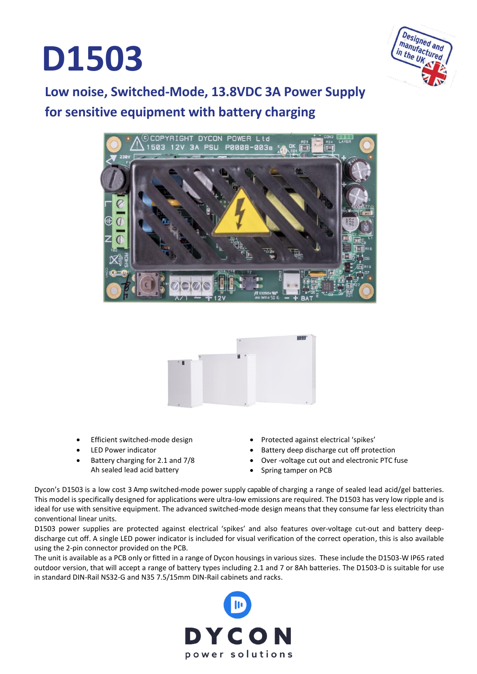# **D1503**



## **Low noise, Switched-Mode, 13.8VDC 3A Power Supply for sensitive equipment with battery charging**





- Efficient switched-mode design
- LED Power indicator
- Battery charging for 2.1 and 7/8 Ah sealed lead acid battery
- Protected against electrical 'spikes'
- Battery deep discharge cut off protection
- Over -voltage cut out and electronic PTC fuse
- Spring tamper on PCB

Dycon's D1503 is a low cost 3 Amp switched-mode power supply capable of charging a range of sealed lead acid/gel batteries. This model is specifically designed for applications were ultra-low emissions are required. The D1503 has very low ripple and is ideal for use with sensitive equipment. The advanced switched-mode design means that they consume far less electricity than conventional linear units.

D1503 power supplies are protected against electrical 'spikes' and also features over-voltage cut-out and battery deepdischarge cut off. A single LED power indicator is included for visual verification of the correct operation, this is also available using the 2-pin connector provided on the PCB.

The unit is available as a PCB only or fitted in a range of Dycon housings in various sizes. These include the D1503-W IP65 rated outdoor version, that will accept a range of battery types including 2.1 and 7 or 8Ah batteries. The D1503-D is suitable for use in standard DIN-Rail NS32-G and N35 7.5/15mm DIN-Rail cabinets and racks.